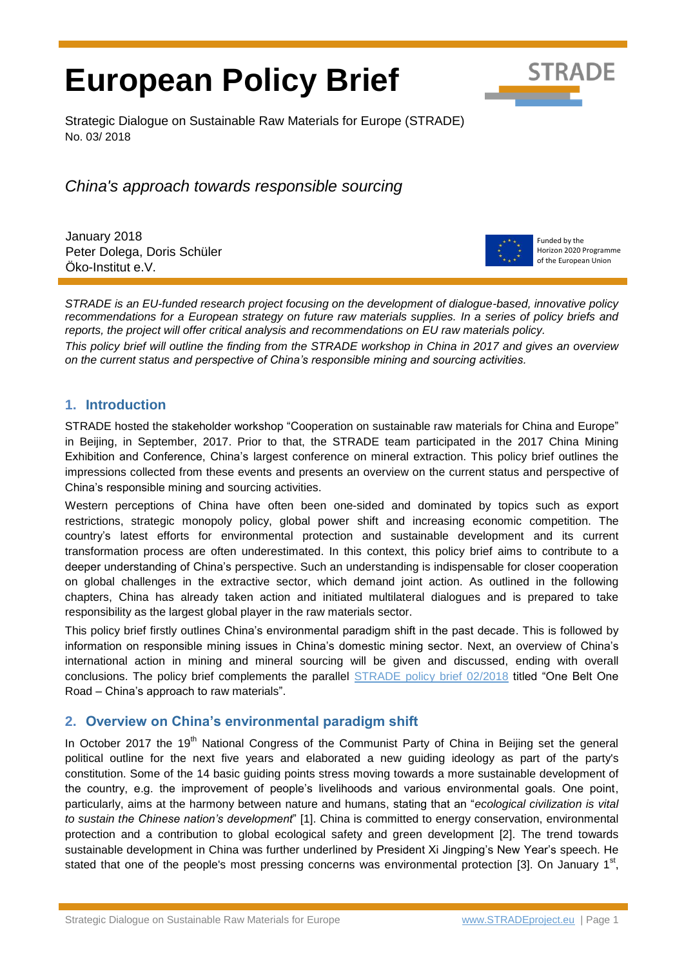# **European Policy Brief**



Strategic Dialogue on Sustainable Raw Materials for Europe (STRADE) No. 03/ 2018

*China's approach towards responsible sourcing*

January 2018 Peter Dolega, Doris Schüler Öko-Institut e.V.



Funded by the Horizon 2020 Programme of the European Union

*STRADE is an EU-funded research project focusing on the development of dialogue-based, innovative policy recommendations for a European strategy on future raw materials supplies. In a series of policy briefs and reports, the project will offer critical analysis and recommendations on EU raw materials policy.* 

*This policy brief will outline the finding from the STRADE workshop in China in 2017 and gives an overview on the current status and perspective of China's responsible mining and sourcing activities.*

# **1. Introduction**

STRADE hosted the stakeholder workshop "Cooperation on sustainable raw materials for China and Europe" in Beijing, in September, 2017. Prior to that, the STRADE team participated in the 2017 China Mining Exhibition and Conference, China's largest conference on mineral extraction. This policy brief outlines the impressions collected from these events and presents an overview on the current status and perspective of China's responsible mining and sourcing activities.

Western perceptions of China have often been one-sided and dominated by topics such as export restrictions, strategic monopoly policy, global power shift and increasing economic competition. The country's latest efforts for environmental protection and sustainable development and its current transformation process are often underestimated. In this context, this policy brief aims to contribute to a deeper understanding of China's perspective. Such an understanding is indispensable for closer cooperation on global challenges in the extractive sector, which demand joint action. As outlined in the following chapters, China has already taken action and initiated multilateral dialogues and is prepared to take responsibility as the largest global player in the raw materials sector.

This policy brief firstly outlines China's environmental paradigm shift in the past decade. This is followed by information on responsible mining issues in China's domestic mining sector. Next, an overview of China's international action in mining and mineral sourcing will be given and discussed, ending with overall conclusions. The policy brief complements the parallel [STRADE policy brief 02/2018](http://www.stradeproject.eu/fileadmin/user_upload/pdf/STRADE_PB_02-2018_One_Belt_One_Road.pdf) titled "One Belt One Road – China's approach to raw materials".

# **2. Overview on China's environmental paradigm shift**

In October 2017 the 19<sup>th</sup> National Congress of the Communist Party of China in Beijing set the general political outline for the next five years and elaborated a new guiding ideology as part of the party's constitution. Some of the 14 basic guiding points stress moving towards a more sustainable development of the country, e.g. the improvement of people's livelihoods and various environmental goals. One point, particularly, aims at the harmony between nature and humans, stating that an "*ecological civilization is vital to sustain the Chinese nation's development*" [1]. China is committed to energy conservation, environmental protection and a contribution to global ecological safety and green development [2]. The trend towards sustainable development in China was further underlined by President Xi Jingping's New Year's speech. He stated that one of the people's most pressing concerns was environmental protection [3]. On January  $1<sup>st</sup>$ ,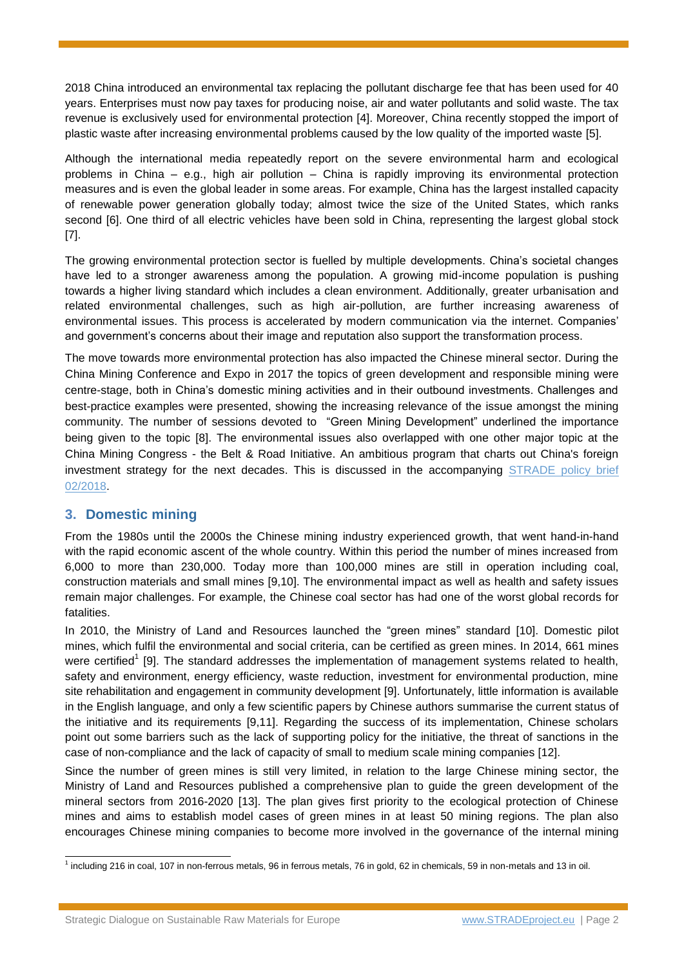2018 China introduced an environmental tax replacing the pollutant discharge fee that has been used for 40 years. Enterprises must now pay taxes for producing noise, air and water pollutants and solid waste. The tax revenue is exclusively used for environmental protection [4]. Moreover, China recently stopped the import of plastic waste after increasing environmental problems caused by the low quality of the imported waste [5].

Although the international media repeatedly report on the severe environmental harm and ecological problems in China – e.g., high air pollution – China is rapidly improving its environmental protection measures and is even the global leader in some areas. For example, China has the largest installed capacity of renewable power generation globally today; almost twice the size of the United States, which ranks second [6]. One third of all electric vehicles have been sold in China, representing the largest global stock [7].

The growing environmental protection sector is fuelled by multiple developments. China's societal changes have led to a stronger awareness among the population. A growing mid-income population is pushing towards a higher living standard which includes a clean environment. Additionally, greater urbanisation and related environmental challenges, such as high air-pollution, are further increasing awareness of environmental issues. This process is accelerated by modern communication via the internet. Companies' and government's concerns about their image and reputation also support the transformation process.

The move towards more environmental protection has also impacted the Chinese mineral sector. During the China Mining Conference and Expo in 2017 the topics of green development and responsible mining were centre-stage, both in China's domestic mining activities and in their outbound investments. Challenges and best-practice examples were presented, showing the increasing relevance of the issue amongst the mining community. The number of sessions devoted to "Green Mining Development" underlined the importance being given to the topic [8]. The environmental issues also overlapped with one other major topic at the China Mining Congress - the Belt & Road Initiative. An ambitious program that charts out China's foreign investment strategy for the next decades. This is discussed in the accompanying STRADE policy brief [02/2018.](http://www.stradeproject.eu/fileadmin/user_upload/pdf/STRADE_PB_02-2018_One_Belt_One_Road.pdf)

# **3. Domestic mining**

From the 1980s until the 2000s the Chinese mining industry experienced growth, that went hand-in-hand with the rapid economic ascent of the whole country. Within this period the number of mines increased from 6,000 to more than 230,000. Today more than 100,000 mines are still in operation including coal, construction materials and small mines [9,10]. The environmental impact as well as health and safety issues remain major challenges. For example, the Chinese coal sector has had one of the worst global records for fatalities.

In 2010, the Ministry of Land and Resources launched the "green mines" standard [10]. Domestic pilot mines, which fulfil the environmental and social criteria, can be certified as green mines. In 2014, 661 mines were certified<sup>1</sup> [9]. The standard addresses the implementation of management systems related to health, safety and environment, energy efficiency, waste reduction, investment for environmental production, mine site rehabilitation and engagement in community development [9]. Unfortunately, little information is available in the English language, and only a few scientific papers by Chinese authors summarise the current status of the initiative and its requirements [9,11]. Regarding the success of its implementation, Chinese scholars point out some barriers such as the lack of supporting policy for the initiative, the threat of sanctions in the case of non-compliance and the lack of capacity of small to medium scale mining companies [12].

Since the number of green mines is still very limited, in relation to the large Chinese mining sector, the Ministry of Land and Resources published a comprehensive plan to guide the green development of the mineral sectors from 2016-2020 [13]. The plan gives first priority to the ecological protection of Chinese mines and aims to establish model cases of green mines in at least 50 mining regions. The plan also encourages Chinese mining companies to become more involved in the governance of the internal mining

 1 including 216 in coal, 107 in non-ferrous metals, 96 in ferrous metals, 76 in gold, 62 in chemicals, 59 in non-metals and 13 in oil.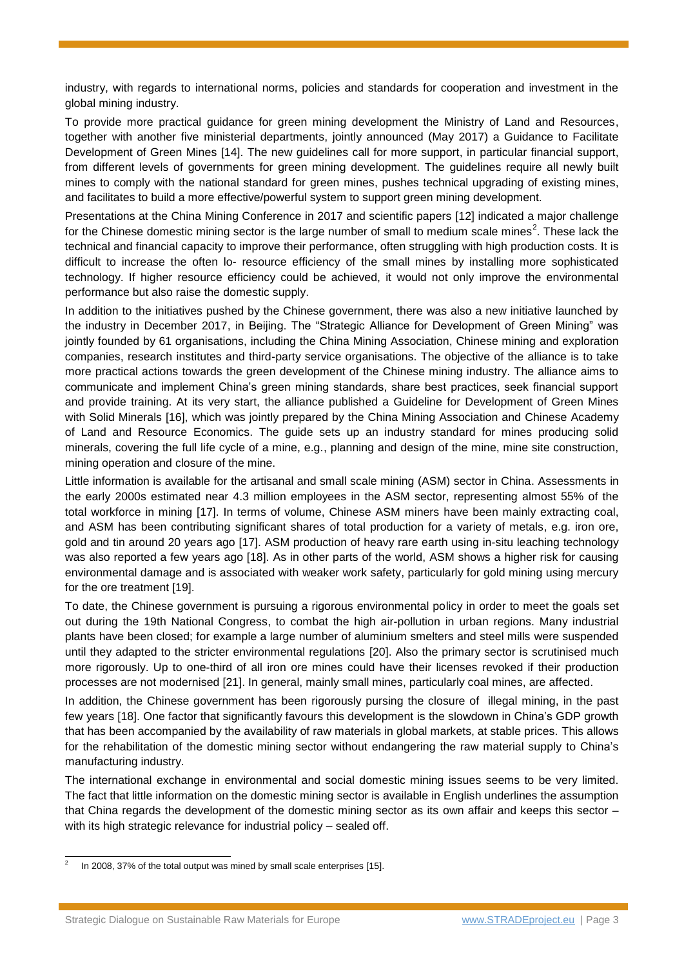industry, with regards to international norms, policies and standards for cooperation and investment in the global mining industry.

To provide more practical guidance for green mining development the Ministry of Land and Resources, together with another five ministerial departments, jointly announced (May 2017) a Guidance to Facilitate Development of Green Mines [14]. The new guidelines call for more support, in particular financial support, from different levels of governments for green mining development. The guidelines require all newly built mines to comply with the national standard for green mines, pushes technical upgrading of existing mines, and facilitates to build a more effective/powerful system to support green mining development.

Presentations at the China Mining Conference in 2017 and scientific papers [12] indicated a major challenge for the Chinese domestic mining sector is the large number of small to medium scale mines<sup>2</sup>. These lack the technical and financial capacity to improve their performance, often struggling with high production costs. It is difficult to increase the often lo- resource efficiency of the small mines by installing more sophisticated technology. If higher resource efficiency could be achieved, it would not only improve the environmental performance but also raise the domestic supply.

In addition to the initiatives pushed by the Chinese government, there was also a new initiative launched by the industry in December 2017, in Beijing. The "Strategic Alliance for Development of Green Mining" was jointly founded by 61 organisations, including the China Mining Association, Chinese mining and exploration companies, research institutes and third-party service organisations. The objective of the alliance is to take more practical actions towards the green development of the Chinese mining industry. The alliance aims to communicate and implement China's green mining standards, share best practices, seek financial support and provide training. At its very start, the alliance published a Guideline for Development of Green Mines with Solid Minerals [16], which was jointly prepared by the China Mining Association and Chinese Academy of Land and Resource Economics. The guide sets up an industry standard for mines producing solid minerals, covering the full life cycle of a mine, e.g., planning and design of the mine, mine site construction, mining operation and closure of the mine.

Little information is available for the artisanal and small scale mining (ASM) sector in China. Assessments in the early 2000s estimated near 4.3 million employees in the ASM sector, representing almost 55% of the total workforce in mining [17]. In terms of volume, Chinese ASM miners have been mainly extracting coal, and ASM has been contributing significant shares of total production for a variety of metals, e.g. iron ore, gold and tin around 20 years ago [17]. ASM production of heavy rare earth using in-situ leaching technology was also reported a few years ago [18]. As in other parts of the world, ASM shows a higher risk for causing environmental damage and is associated with weaker work safety, particularly for gold mining using mercury for the ore treatment [19].

To date, the Chinese government is pursuing a rigorous environmental policy in order to meet the goals set out during the 19th National Congress, to combat the high air-pollution in urban regions. Many industrial plants have been closed; for example a large number of aluminium smelters and steel mills were suspended until they adapted to the stricter environmental regulations [20]. Also the primary sector is scrutinised much more rigorously. Up to one-third of all iron ore mines could have their licenses revoked if their production processes are not modernised [21]. In general, mainly small mines, particularly coal mines, are affected.

In addition, the Chinese government has been rigorously pursing the closure of illegal mining, in the past few years [18]. One factor that significantly favours this development is the slowdown in China's GDP growth that has been accompanied by the availability of raw materials in global markets, at stable prices. This allows for the rehabilitation of the domestic mining sector without endangering the raw material supply to China's manufacturing industry.

The international exchange in environmental and social domestic mining issues seems to be very limited. The fact that little information on the domestic mining sector is available in English underlines the assumption that China regards the development of the domestic mining sector as its own affair and keeps this sector – with its high strategic relevance for industrial policy – sealed off.

-

<sup>2</sup> In 2008, 37% of the total output was mined by small scale enterprises [15].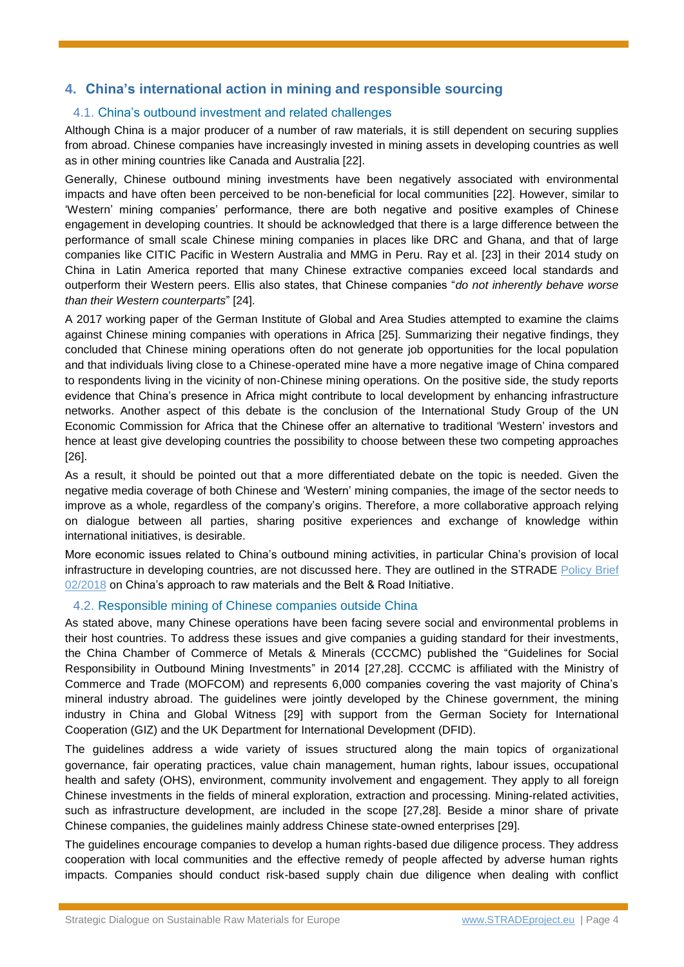## **4. China's international action in mining and responsible sourcing**

## 4.1. China's outbound investment and related challenges

Although China is a major producer of a number of raw materials, it is still dependent on securing supplies from abroad. Chinese companies have increasingly invested in mining assets in developing countries as well as in other mining countries like Canada and Australia [22].

Generally, Chinese outbound mining investments have been negatively associated with environmental impacts and have often been perceived to be non-beneficial for local communities [22]. However, similar to 'Western' mining companies' performance, there are both negative and positive examples of Chinese engagement in developing countries. It should be acknowledged that there is a large difference between the performance of small scale Chinese mining companies in places like DRC and Ghana, and that of large companies like CITIC Pacific in Western Australia and MMG in Peru. Ray et al. [23] in their 2014 study on China in Latin America reported that many Chinese extractive companies exceed local standards and outperform their Western peers. Ellis also states, that Chinese companies "*do not inherently behave worse than their Western counterparts*" [24].

A 2017 working paper of the German Institute of Global and Area Studies attempted to examine the claims against Chinese mining companies with operations in Africa [25]. Summarizing their negative findings, they concluded that Chinese mining operations often do not generate job opportunities for the local population and that individuals living close to a Chinese‐operated mine have a more negative image of China compared to respondents living in the vicinity of non‐Chinese mining operations. On the positive side, the study reports evidence that China's presence in Africa might contribute to local development by enhancing infrastructure networks. Another aspect of this debate is the conclusion of the International Study Group of the UN Economic Commission for Africa that the Chinese offer an alternative to traditional 'Western' investors and hence at least give developing countries the possibility to choose between these two competing approaches [26].

As a result, it should be pointed out that a more differentiated debate on the topic is needed. Given the negative media coverage of both Chinese and 'Western' mining companies, the image of the sector needs to improve as a whole, regardless of the company's origins. Therefore, a more collaborative approach relying on dialogue between all parties, sharing positive experiences and exchange of knowledge within international initiatives, is desirable.

More economic issues related to China's outbound mining activities, in particular China's provision of local infrastructure in developing countries, are not discussed here. They are outlined in the STRADE [Policy Brief](http://www.stradeproject.eu/fileadmin/user_upload/pdf/STRADE_PB_02-2018_One_Belt_One_Road.pdf)  [02/2018](http://www.stradeproject.eu/fileadmin/user_upload/pdf/STRADE_PB_02-2018_One_Belt_One_Road.pdf) on China's approach to raw materials and the Belt & Road Initiative.

#### 4.2. Responsible mining of Chinese companies outside China

As stated above, many Chinese operations have been facing severe social and environmental problems in their host countries. To address these issues and give companies a guiding standard for their investments, the China Chamber of Commerce of Metals & Minerals (CCCMC) published the "Guidelines for Social Responsibility in Outbound Mining Investments" in 2014 [27,28]. CCCMC is affiliated with the Ministry of Commerce and Trade (MOFCOM) and represents 6,000 companies covering the vast majority of China's mineral industry abroad. The guidelines were jointly developed by the Chinese government, the mining industry in China and Global Witness [29] with support from the German Society for International Cooperation (GIZ) and the UK Department for International Development (DFID).

The guidelines address a wide variety of issues structured along the main topics of organizational governance, fair operating practices, value chain management, human rights, labour issues, occupational health and safety (OHS), environment, community involvement and engagement. They apply to all foreign Chinese investments in the fields of mineral exploration, extraction and processing. Mining-related activities, such as infrastructure development, are included in the scope [27,28]. Beside a minor share of private Chinese companies, the guidelines mainly address Chinese state-owned enterprises [29].

The guidelines encourage companies to develop a human rights-based due diligence process. They address cooperation with local communities and the effective remedy of people affected by adverse human rights impacts. Companies should conduct risk-based supply chain due diligence when dealing with conflict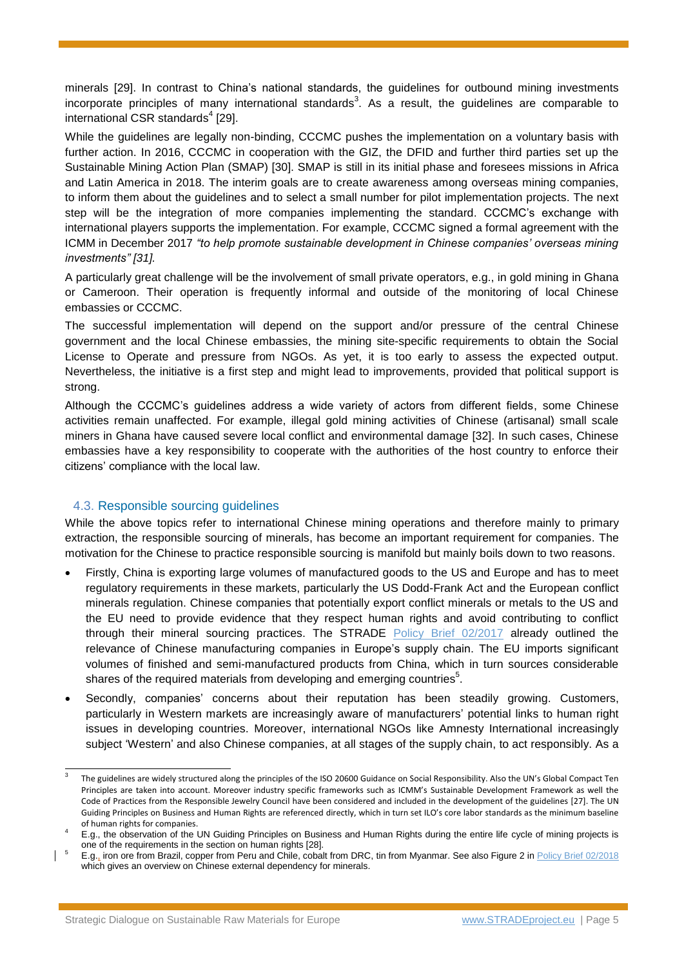minerals [29]. In contrast to China's national standards, the guidelines for outbound mining investments incorporate principles of many international standards<sup>3</sup>. As a result, the guidelines are comparable to international CSR standards<sup>4</sup> [29].

While the guidelines are legally non-binding, CCCMC pushes the implementation on a voluntary basis with further action. In 2016, CCCMC in cooperation with the GIZ, the DFID and further third parties set up the Sustainable Mining Action Plan (SMAP) [30]. SMAP is still in its initial phase and foresees missions in Africa and Latin America in 2018. The interim goals are to create awareness among overseas mining companies, to inform them about the guidelines and to select a small number for pilot implementation projects. The next step will be the integration of more companies implementing the standard. CCCMC's exchange with international players supports the implementation. For example, CCCMC signed a formal agreement with the ICMM in December 2017 *"to help promote sustainable development in Chinese companies' overseas mining investments" [31].*

A particularly great challenge will be the involvement of small private operators, e.g., in gold mining in Ghana or Cameroon. Their operation is frequently informal and outside of the monitoring of local Chinese embassies or CCCMC.

The successful implementation will depend on the support and/or pressure of the central Chinese government and the local Chinese embassies, the mining site-specific requirements to obtain the Social License to Operate and pressure from NGOs. As yet, it is too early to assess the expected output. Nevertheless, the initiative is a first step and might lead to improvements, provided that political support is strong.

Although the CCCMC's guidelines address a wide variety of actors from different fields, some Chinese activities remain unaffected. For example, illegal gold mining activities of Chinese (artisanal) small scale miners in Ghana have caused severe local conflict and environmental damage [32]. In such cases, Chinese embassies have a key responsibility to cooperate with the authorities of the host country to enforce their citizens' compliance with the local law.

## 4.3. Responsible sourcing guidelines

-

While the above topics refer to international Chinese mining operations and therefore mainly to primary extraction, the responsible sourcing of minerals, has become an important requirement for companies. The motivation for the Chinese to practice responsible sourcing is manifold but mainly boils down to two reasons.

- Firstly, China is exporting large volumes of manufactured goods to the US and Europe and has to meet regulatory requirements in these markets, particularly the US Dodd-Frank Act and the European conflict minerals regulation. Chinese companies that potentially export conflict minerals or metals to the US and the EU need to provide evidence that they respect human rights and avoid contributing to conflict through their mineral sourcing practices. The STRADE [Policy Brief 02/2017](http://www.stradeproject.eu/fileadmin/user_upload/pdf/STRADE_PB_02-2018_One_Belt_One_Road.pdf) already outlined the relevance of Chinese manufacturing companies in Europe's supply chain. The EU imports significant volumes of finished and semi-manufactured products from China, which in turn sources considerable shares of the required materials from developing and emerging countries $5$ .
- Secondly, companies' concerns about their reputation has been steadily growing. Customers, particularly in Western markets are increasingly aware of manufacturers' potential links to human right issues in developing countries. Moreover, international NGOs like Amnesty International increasingly subject 'Western' and also Chinese companies, at all stages of the supply chain, to act responsibly. As a

<sup>3</sup> The guidelines are widely structured along the principles of the ISO 20600 Guidance on Social Responsibility. Also the UN's Global Compact Ten Principles are taken into account. Moreover industry specific frameworks such as ICMM's Sustainable Development Framework as well the Code of Practices from the Responsible Jewelry Council have been considered and included in the development of the guidelines [27]. The UN Guiding Principles on Business and Human Rights are referenced directly, which in turn set ILO's core labor standards as the minimum baseline of human rights for companies.

<sup>4</sup> E.g., the observation of the UN Guiding Principles on Business and Human Rights during the entire life cycle of mining projects is one of the requirements in the section on human rights [28].

<sup>5</sup> E.g., iron ore from Brazil, copper from Peru and Chile, cobalt from DRC, tin from Myanmar. See also Figure 2 i[n Policy Brief 02/2018](http://www.stradeproject.eu/fileadmin/user_upload/pdf/STRADE_PB_02-2018_One%20Belt%20One%20Road.pdf) which gives an overview on Chinese external dependency for minerals.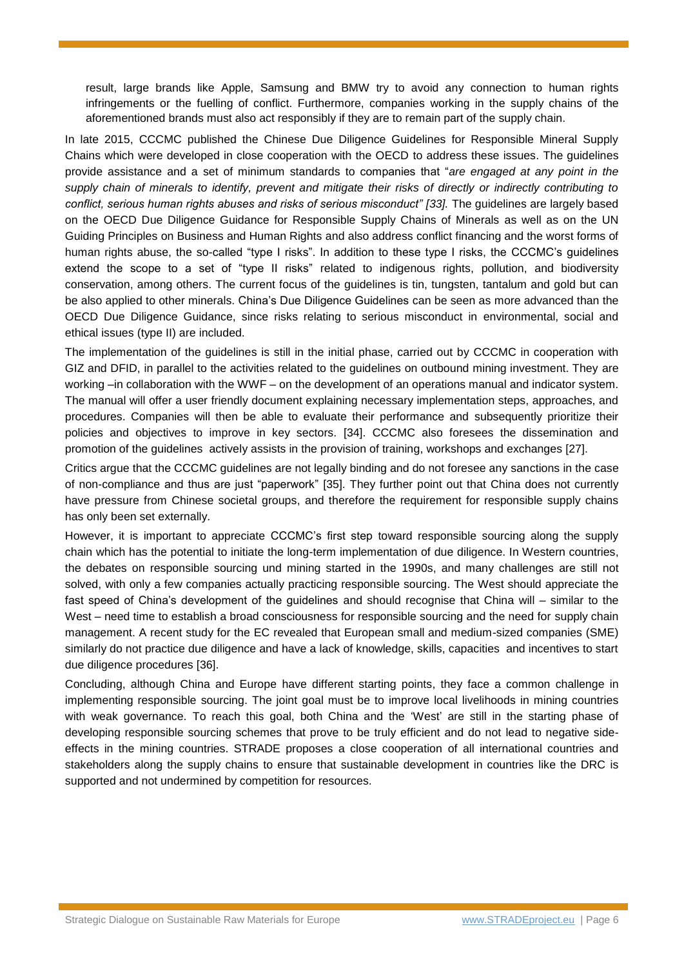result, large brands like Apple, Samsung and BMW try to avoid any connection to human rights infringements or the fuelling of conflict. Furthermore, companies working in the supply chains of the aforementioned brands must also act responsibly if they are to remain part of the supply chain.

In late 2015, CCCMC published the Chinese Due Diligence Guidelines for Responsible Mineral Supply Chains which were developed in close cooperation with the OECD to address these issues. The guidelines provide assistance and a set of minimum standards to companies that "*are engaged at any point in the supply chain of minerals to identify, prevent and mitigate their risks of directly or indirectly contributing to conflict, serious human rights abuses and risks of serious misconduct" [33].* The guidelines are largely based on the OECD Due Diligence Guidance for Responsible Supply Chains of Minerals as well as on the UN Guiding Principles on Business and Human Rights and also address conflict financing and the worst forms of human rights abuse, the so-called "type I risks". In addition to these type I risks, the CCCMC's guidelines extend the scope to a set of "type II risks" related to indigenous rights, pollution, and biodiversity conservation, among others. The current focus of the guidelines is tin, tungsten, tantalum and gold but can be also applied to other minerals. China's Due Diligence Guidelines can be seen as more advanced than the OECD Due Diligence Guidance, since risks relating to serious misconduct in environmental, social and ethical issues (type II) are included.

The implementation of the guidelines is still in the initial phase, carried out by CCCMC in cooperation with GIZ and DFID, in parallel to the activities related to the guidelines on outbound mining investment. They are working –in collaboration with the WWF – on the development of an operations manual and indicator system. The manual will offer a user friendly document explaining necessary implementation steps, approaches, and procedures. Companies will then be able to evaluate their performance and subsequently prioritize their policies and objectives to improve in key sectors. [34]. CCCMC also foresees the dissemination and promotion of the guidelines actively assists in the provision of training, workshops and exchanges [27].

Critics argue that the CCCMC guidelines are not legally binding and do not foresee any sanctions in the case of non-compliance and thus are just "paperwork" [35]. They further point out that China does not currently have pressure from Chinese societal groups, and therefore the requirement for responsible supply chains has only been set externally.

However, it is important to appreciate CCCMC's first step toward responsible sourcing along the supply chain which has the potential to initiate the long-term implementation of due diligence. In Western countries, the debates on responsible sourcing und mining started in the 1990s, and many challenges are still not solved, with only a few companies actually practicing responsible sourcing. The West should appreciate the fast speed of China's development of the guidelines and should recognise that China will – similar to the West – need time to establish a broad consciousness for responsible sourcing and the need for supply chain management. A recent study for the EC revealed that European small and medium-sized companies (SME) similarly do not practice due diligence and have a lack of knowledge, skills, capacities and incentives to start due diligence procedures [36].

Concluding, although China and Europe have different starting points, they face a common challenge in implementing responsible sourcing. The joint goal must be to improve local livelihoods in mining countries with weak governance. To reach this goal, both China and the 'West' are still in the starting phase of developing responsible sourcing schemes that prove to be truly efficient and do not lead to negative sideeffects in the mining countries. STRADE proposes a close cooperation of all international countries and stakeholders along the supply chains to ensure that sustainable development in countries like the DRC is supported and not undermined by competition for resources.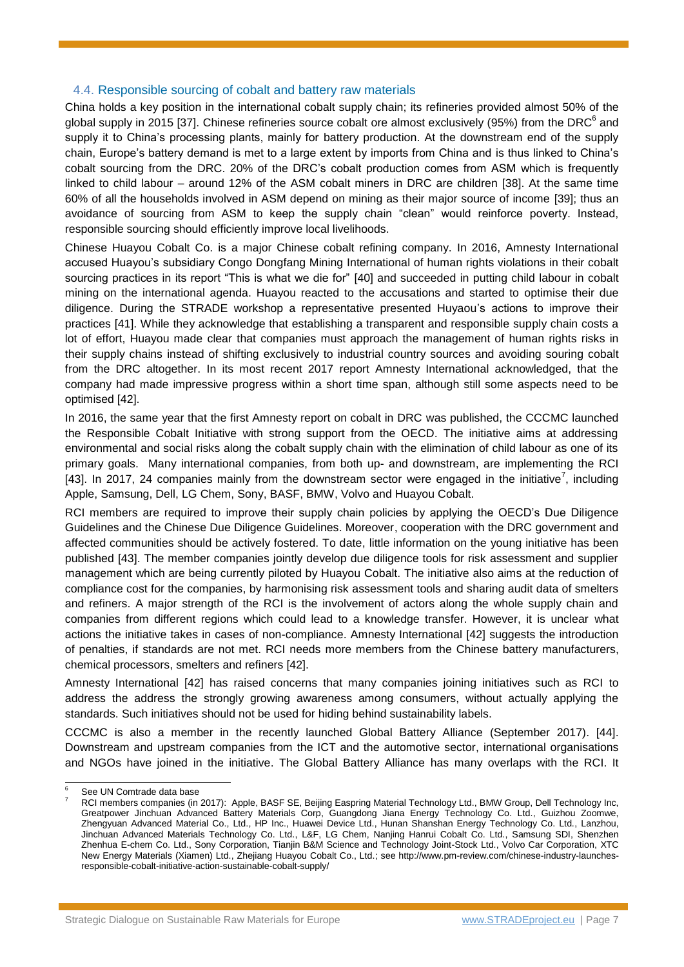#### 4.4. Responsible sourcing of cobalt and battery raw materials

China holds a key position in the international cobalt supply chain; its refineries provided almost 50% of the global supply in 2015 [37]. Chinese refineries source cobalt ore almost exclusively (95%) from the DRC<sup>6</sup> and supply it to China's processing plants, mainly for battery production. At the downstream end of the supply chain, Europe's battery demand is met to a large extent by imports from China and is thus linked to China's cobalt sourcing from the DRC. 20% of the DRC's cobalt production comes from ASM which is frequently linked to child labour – around 12% of the ASM cobalt miners in DRC are children [38]. At the same time 60% of all the households involved in ASM depend on mining as their major source of income [39]; thus an avoidance of sourcing from ASM to keep the supply chain "clean" would reinforce poverty. Instead, responsible sourcing should efficiently improve local livelihoods.

Chinese Huayou Cobalt Co. is a major Chinese cobalt refining company. In 2016, Amnesty International accused Huayou's subsidiary Congo Dongfang Mining International of human rights violations in their cobalt sourcing practices in its report "This is what we die for" [40] and succeeded in putting child labour in cobalt mining on the international agenda. Huayou reacted to the accusations and started to optimise their due diligence. During the STRADE workshop a representative presented Huyaou's actions to improve their practices [41]. While they acknowledge that establishing a transparent and responsible supply chain costs a lot of effort, Huayou made clear that companies must approach the management of human rights risks in their supply chains instead of shifting exclusively to industrial country sources and avoiding souring cobalt from the DRC altogether. In its most recent 2017 report Amnesty International acknowledged, that the company had made impressive progress within a short time span, although still some aspects need to be optimised [42].

In 2016, the same year that the first Amnesty report on cobalt in DRC was published, the CCCMC launched the Responsible Cobalt Initiative with strong support from the OECD. The initiative aims at addressing environmental and social risks along the cobalt supply chain with the elimination of child labour as one of its primary goals. Many international companies, from both up- and downstream, are implementing the RCI [43]. In 2017, 24 companies mainly from the downstream sector were engaged in the initiative<sup>7</sup>, including Apple, Samsung, Dell, LG Chem, Sony, BASF, BMW, Volvo and Huayou Cobalt.

RCI members are required to improve their supply chain policies by applying the OECD's Due Diligence Guidelines and the Chinese Due Diligence Guidelines. Moreover, cooperation with the DRC government and affected communities should be actively fostered. To date, little information on the young initiative has been published [43]. The member companies jointly develop due diligence tools for risk assessment and supplier management which are being currently piloted by Huayou Cobalt. The initiative also aims at the reduction of compliance cost for the companies, by harmonising risk assessment tools and sharing audit data of smelters and refiners. A major strength of the RCI is the involvement of actors along the whole supply chain and companies from different regions which could lead to a knowledge transfer. However, it is unclear what actions the initiative takes in cases of non-compliance. Amnesty International [42] suggests the introduction of penalties, if standards are not met. RCI needs more members from the Chinese battery manufacturers, chemical processors, smelters and refiners [42].

Amnesty International [42] has raised concerns that many companies joining initiatives such as RCI to address the address the strongly growing awareness among consumers, without actually applying the standards. Such initiatives should not be used for hiding behind sustainability labels.

CCCMC is also a member in the recently launched Global Battery Alliance (September 2017). [44]. Downstream and upstream companies from the ICT and the automotive sector, international organisations and NGOs have joined in the initiative. The Global Battery Alliance has many overlaps with the RCI. It

-

See UN Comtrade data base

<sup>7</sup> RCI members companies (in 2017): Apple, BASF SE, Beijing Easpring Material Technology Ltd., BMW Group, Dell Technology Inc, Greatpower Jinchuan Advanced Battery Materials Corp, Guangdong Jiana Energy Technology Co. Ltd., Guizhou Zoomwe, Zhengyuan Advanced Material Co., Ltd., HP Inc., Huawei Device Ltd., Hunan Shanshan Energy Technology Co. Ltd., Lanzhou, Jinchuan Advanced Materials Technology Co. Ltd., L&F, LG Chem, Nanjing Hanrui Cobalt Co. Ltd., Samsung SDI, Shenzhen Zhenhua E-chem Co. Ltd., Sony Corporation, Tianjin B&M Science and Technology Joint-Stock Ltd., Volvo Car Corporation, XTC New Energy Materials (Xiamen) Ltd., Zhejiang Huayou Cobalt Co., Ltd.; see http://www.pm-review.com/chinese-industry-launchesresponsible-cobalt-initiative-action-sustainable-cobalt-supply/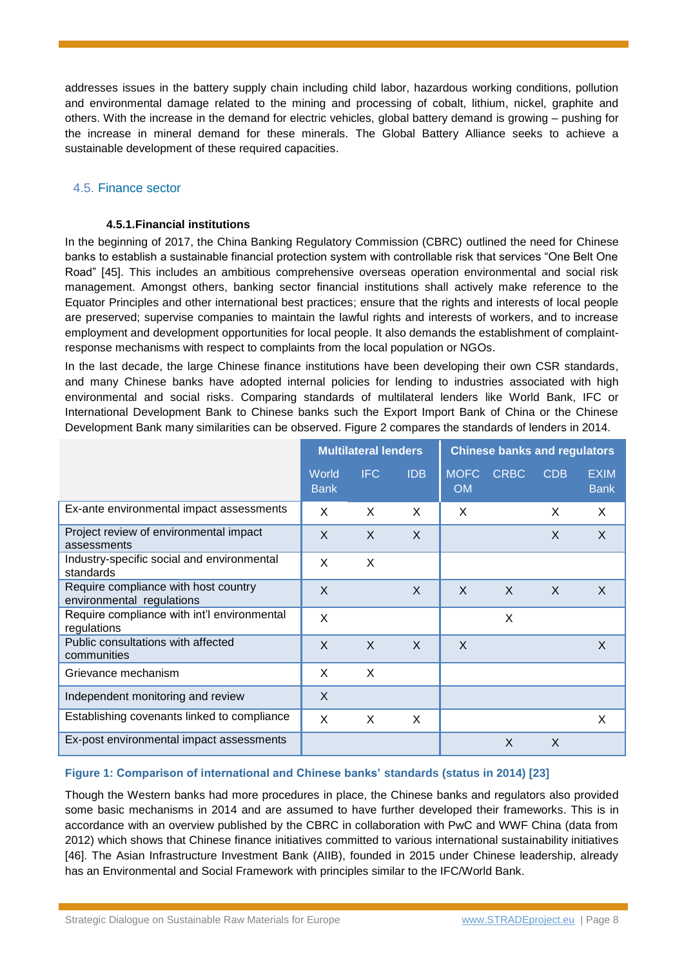addresses issues in the battery supply chain including child labor, hazardous working conditions, pollution and environmental damage related to the mining and processing of cobalt, lithium, nickel, graphite and others. With the increase in the demand for electric vehicles, global battery demand is growing – pushing for the increase in mineral demand for these minerals. The Global Battery Alliance seeks to achieve a sustainable development of these required capacities.

## 4.5. Finance sector

#### **4.5.1.Financial institutions**

In the beginning of 2017, the China Banking Regulatory Commission (CBRC) outlined the need for Chinese banks to establish a sustainable financial protection system with controllable risk that services "One Belt One Road" [45]. This includes an ambitious comprehensive overseas operation environmental and social risk management. Amongst others, banking sector financial institutions shall actively make reference to the Equator Principles and other international best practices; ensure that the rights and interests of local people are preserved; supervise companies to maintain the lawful rights and interests of workers, and to increase employment and development opportunities for local people. It also demands the establishment of complaintresponse mechanisms with respect to complaints from the local population or NGOs.

In the last decade, the large Chinese finance institutions have been developing their own CSR standards, and many Chinese banks have adopted internal policies for lending to industries associated with high environmental and social risks. Comparing standards of multilateral lenders like World Bank, IFC or International Development Bank to Chinese banks such the Export Import Bank of China or the Chinese Development Bank many similarities can be observed. Figure 2 compares the standards of lenders in 2014.

|                                                                   | <b>Multilateral lenders</b> |              |              | <b>Chinese banks and regulators</b> |              |              |                            |
|-------------------------------------------------------------------|-----------------------------|--------------|--------------|-------------------------------------|--------------|--------------|----------------------------|
|                                                                   | World<br><b>Bank</b>        | <b>IFC</b>   | <b>IDB</b>   | <b>MOFC</b><br><b>OM</b>            | <b>CRBC</b>  | <b>CDB</b>   | <b>EXIM</b><br><b>Bank</b> |
| Ex-ante environmental impact assessments                          | X                           | X            | X            | X                                   |              | X            | X                          |
| Project review of environmental impact<br>assessments             | X                           | $\times$     | $\mathsf{X}$ |                                     |              | X            | X                          |
| Industry-specific social and environmental<br>standards           | X                           | X            |              |                                     |              |              |                            |
| Require compliance with host country<br>environmental regulations | X                           |              | X            | $\mathsf{x}$                        | $\mathsf{x}$ | $\mathsf{X}$ | $\mathsf{X}$               |
| Require compliance with int'l environmental<br>regulations        | X                           |              |              |                                     | X            |              |                            |
| Public consultations with affected<br>communities                 | X                           | $\mathsf{x}$ | $\mathsf{X}$ | X                                   |              |              | X                          |
| Grievance mechanism                                               | X                           | X            |              |                                     |              |              |                            |
| Independent monitoring and review                                 | X                           |              |              |                                     |              |              |                            |
| Establishing covenants linked to compliance                       | X                           | X            | X            |                                     |              |              | X                          |
| Ex-post environmental impact assessments                          |                             |              |              |                                     | X            | X            |                            |

#### **Figure 1: Comparison of international and Chinese banks' standards (status in 2014) [23]**

Though the Western banks had more procedures in place, the Chinese banks and regulators also provided some basic mechanisms in 2014 and are assumed to have further developed their frameworks. This is in accordance with an overview published by the CBRC in collaboration with PwC and WWF China (data from 2012) which shows that Chinese finance initiatives committed to various international sustainability initiatives [46]. The Asian Infrastructure Investment Bank (AIIB), founded in 2015 under Chinese leadership, already has an Environmental and Social Framework with principles similar to the IFC/World Bank.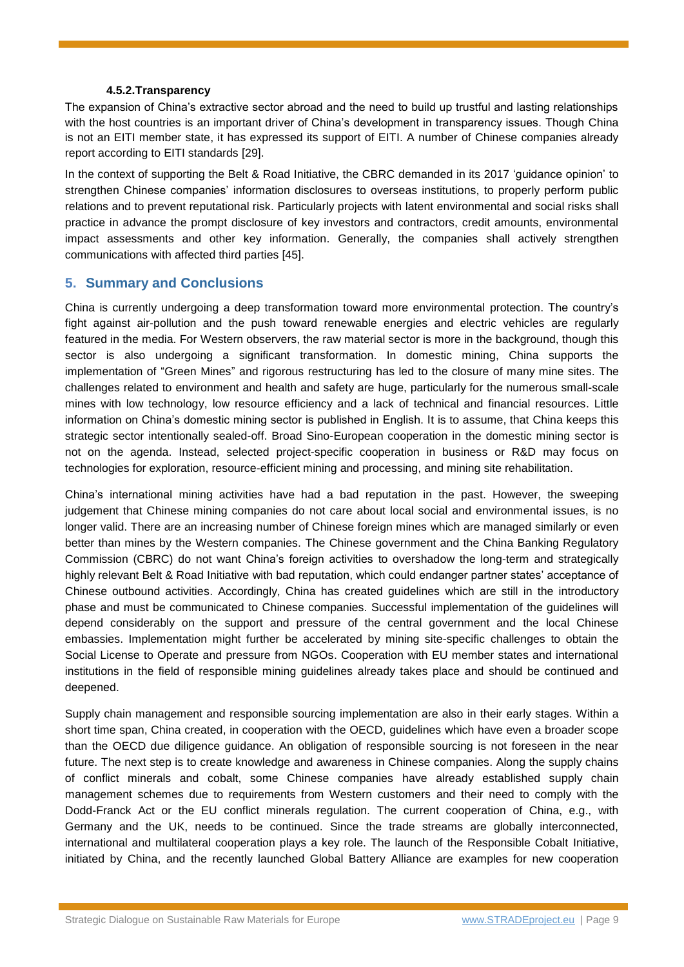#### **4.5.2.Transparency**

The expansion of China's extractive sector abroad and the need to build up trustful and lasting relationships with the host countries is an important driver of China's development in transparency issues. Though China is not an EITI member state, it has expressed its support of EITI. A number of Chinese companies already report according to EITI standards [29].

In the context of supporting the Belt & Road Initiative, the CBRC demanded in its 2017 'guidance opinion' to strengthen Chinese companies' information disclosures to overseas institutions, to properly perform public relations and to prevent reputational risk. Particularly projects with latent environmental and social risks shall practice in advance the prompt disclosure of key investors and contractors, credit amounts, environmental impact assessments and other key information. Generally, the companies shall actively strengthen communications with affected third parties [45].

## **5. Summary and Conclusions**

China is currently undergoing a deep transformation toward more environmental protection. The country's fight against air-pollution and the push toward renewable energies and electric vehicles are regularly featured in the media. For Western observers, the raw material sector is more in the background, though this sector is also undergoing a significant transformation. In domestic mining, China supports the implementation of "Green Mines" and rigorous restructuring has led to the closure of many mine sites. The challenges related to environment and health and safety are huge, particularly for the numerous small-scale mines with low technology, low resource efficiency and a lack of technical and financial resources. Little information on China's domestic mining sector is published in English. It is to assume, that China keeps this strategic sector intentionally sealed-off. Broad Sino-European cooperation in the domestic mining sector is not on the agenda. Instead, selected project-specific cooperation in business or R&D may focus on technologies for exploration, resource-efficient mining and processing, and mining site rehabilitation.

China's international mining activities have had a bad reputation in the past. However, the sweeping judgement that Chinese mining companies do not care about local social and environmental issues, is no longer valid. There are an increasing number of Chinese foreign mines which are managed similarly or even better than mines by the Western companies. The Chinese government and the China Banking Regulatory Commission (CBRC) do not want China's foreign activities to overshadow the long-term and strategically highly relevant Belt & Road Initiative with bad reputation, which could endanger partner states' acceptance of Chinese outbound activities. Accordingly, China has created guidelines which are still in the introductory phase and must be communicated to Chinese companies. Successful implementation of the guidelines will depend considerably on the support and pressure of the central government and the local Chinese embassies. Implementation might further be accelerated by mining site-specific challenges to obtain the Social License to Operate and pressure from NGOs. Cooperation with EU member states and international institutions in the field of responsible mining guidelines already takes place and should be continued and deepened.

Supply chain management and responsible sourcing implementation are also in their early stages. Within a short time span, China created, in cooperation with the OECD, guidelines which have even a broader scope than the OECD due diligence guidance. An obligation of responsible sourcing is not foreseen in the near future. The next step is to create knowledge and awareness in Chinese companies. Along the supply chains of conflict minerals and cobalt, some Chinese companies have already established supply chain management schemes due to requirements from Western customers and their need to comply with the Dodd-Franck Act or the EU conflict minerals regulation. The current cooperation of China, e.g., with Germany and the UK, needs to be continued. Since the trade streams are globally interconnected, international and multilateral cooperation plays a key role. The launch of the Responsible Cobalt Initiative, initiated by China, and the recently launched Global Battery Alliance are examples for new cooperation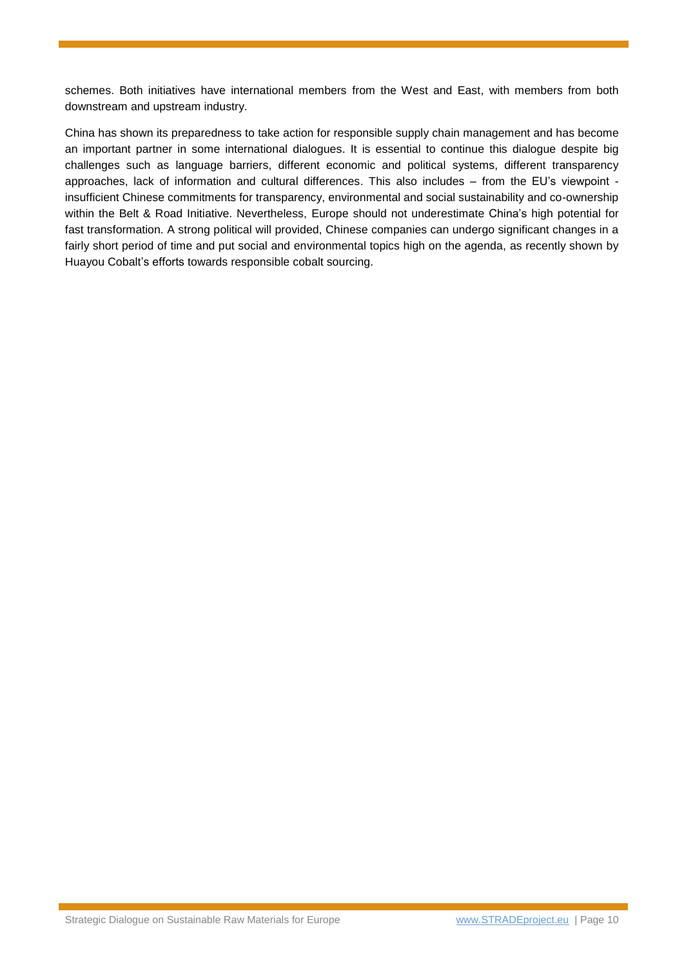schemes. Both initiatives have international members from the West and East, with members from both downstream and upstream industry.

China has shown its preparedness to take action for responsible supply chain management and has become an important partner in some international dialogues. It is essential to continue this dialogue despite big challenges such as language barriers, different economic and political systems, different transparency approaches, lack of information and cultural differences. This also includes – from the EU's viewpoint insufficient Chinese commitments for transparency, environmental and social sustainability and co-ownership within the Belt & Road Initiative. Nevertheless, Europe should not underestimate China's high potential for fast transformation. A strong political will provided, Chinese companies can undergo significant changes in a fairly short period of time and put social and environmental topics high on the agenda, as recently shown by Huayou Cobalt's efforts towards responsible cobalt sourcing.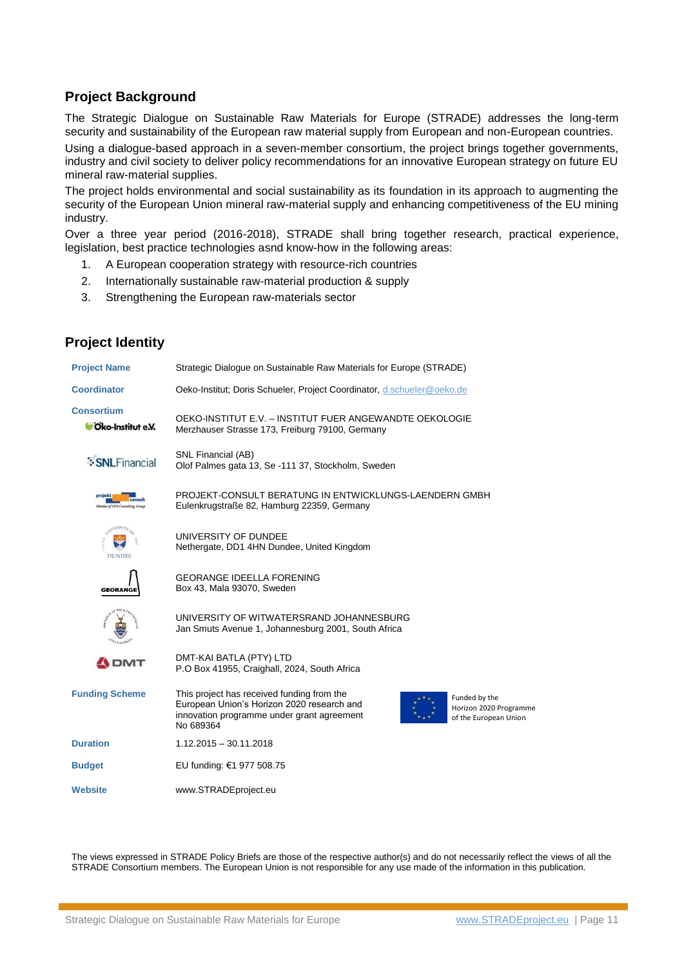## **Project Background**

**Project Identity**

The Strategic Dialogue on Sustainable Raw Materials for Europe (STRADE) addresses the long-term security and sustainability of the European raw material supply from European and non-European countries.

Using a dialogue-based approach in a seven-member consortium, the project brings together governments, industry and civil society to deliver policy recommendations for an innovative European strategy on future EU mineral raw-material supplies.

The project holds environmental and social sustainability as its foundation in its approach to augmenting the security of the European Union mineral raw-material supply and enhancing competitiveness of the EU mining industry.

Over a three year period (2016-2018), STRADE shall bring together research, practical experience, legislation, best practice technologies asnd know-how in the following areas:

- 1. A European cooperation strategy with resource-rich countries
- 2. Internationally sustainable raw-material production & supply
- 3. Strengthening the European raw-materials sector

| Strategic Dialogue on Sustainable Raw Materials for Europe (STRADE)                                                                                                                                                     |  |  |  |  |  |
|-------------------------------------------------------------------------------------------------------------------------------------------------------------------------------------------------------------------------|--|--|--|--|--|
| Oeko-Institut; Doris Schueler, Project Coordinator, d.schueler@oeko.de                                                                                                                                                  |  |  |  |  |  |
| OEKO-INSTITUT E.V. - INSTITUT FUER ANGEWANDTE OEKOLOGIE<br>Merzhauser Strasse 173, Freiburg 79100, Germany                                                                                                              |  |  |  |  |  |
| SNL Financial (AB)<br>Olof Palmes gata 13, Se -111 37, Stockholm, Sweden                                                                                                                                                |  |  |  |  |  |
| PROJEKT-CONSULT BERATUNG IN ENTWICKLUNGS-LAENDERN GMBH<br>Eulenkrugstraße 82, Hamburg 22359, Germany                                                                                                                    |  |  |  |  |  |
| UNIVERSITY OF DUNDEE<br>Nethergate, DD1 4HN Dundee, United Kingdom                                                                                                                                                      |  |  |  |  |  |
| <b>GEORANGE IDEELLA FORENING</b><br>Box 43, Mala 93070, Sweden                                                                                                                                                          |  |  |  |  |  |
| UNIVERSITY OF WITWATERSRAND JOHANNESBURG<br>Jan Smuts Avenue 1, Johannesburg 2001, South Africa                                                                                                                         |  |  |  |  |  |
| DMT-KAI BATLA (PTY) LTD<br>P.O Box 41955, Craighall, 2024, South Africa                                                                                                                                                 |  |  |  |  |  |
| This project has received funding from the<br>Funded by the<br>European Union's Horizon 2020 research and<br>Horizon 2020 Programme<br>innovation programme under grant agreement<br>of the European Union<br>No 689364 |  |  |  |  |  |
| $1.12.2015 - 30.11.2018$                                                                                                                                                                                                |  |  |  |  |  |
| EU funding: €1 977 508.75                                                                                                                                                                                               |  |  |  |  |  |
| www.STRADEproject.eu                                                                                                                                                                                                    |  |  |  |  |  |
|                                                                                                                                                                                                                         |  |  |  |  |  |

The views expressed in STRADE Policy Briefs are those of the respective author(s) and do not necessarily reflect the views of all the STRADE Consortium members. The European Union is not responsible for any use made of the information in this publication.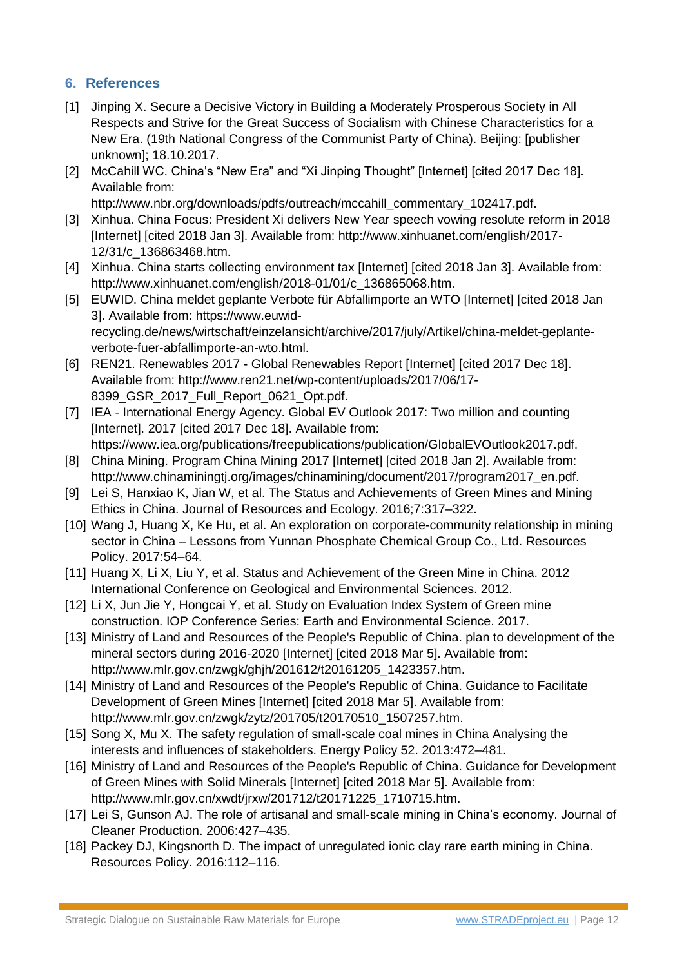# **6. References**

- [1] Jinping X. Secure a Decisive Victory in Building a Moderately Prosperous Society in All Respects and Strive for the Great Success of Socialism with Chinese Characteristics for a New Era. (19th National Congress of the Communist Party of China). Beijing: [publisher unknown]; 18.10.2017.
- [2] McCahill WC. China's "New Era" and "Xi Jinping Thought" [Internet] [cited 2017 Dec 18]. Available from:
	- http://www.nbr.org/downloads/pdfs/outreach/mccahill\_commentary\_102417.pdf.
- [3] Xinhua. China Focus: President Xi delivers New Year speech vowing resolute reform in 2018 [Internet] [cited 2018 Jan 3]. Available from: http://www.xinhuanet.com/english/2017- 12/31/c\_136863468.htm.
- [4] Xinhua. China starts collecting environment tax [Internet] [cited 2018 Jan 3]. Available from: http://www.xinhuanet.com/english/2018-01/01/c\_136865068.htm.
- [5] EUWID. China meldet geplante Verbote für Abfallimporte an WTO [Internet] [cited 2018 Jan 3]. Available from: https://www.euwidrecycling.de/news/wirtschaft/einzelansicht/archive/2017/july/Artikel/china-meldet-geplanteverbote-fuer-abfallimporte-an-wto.html.
- [6] REN21. Renewables 2017 Global Renewables Report [Internet] [cited 2017 Dec 18]. Available from: http://www.ren21.net/wp-content/uploads/2017/06/17- 8399\_GSR\_2017\_Full\_Report\_0621\_Opt.pdf.
- [7] IEA International Energy Agency. Global EV Outlook 2017: Two million and counting [Internet]. 2017 [cited 2017 Dec 18]. Available from: https://www.iea.org/publications/freepublications/publication/GlobalEVOutlook2017.pdf.
- [8] China Mining. Program China Mining 2017 [Internet] [cited 2018 Jan 2]. Available from: http://www.chinaminingtj.org/images/chinamining/document/2017/program2017\_en.pdf.
- [9] Lei S, Hanxiao K, Jian W, et al. The Status and Achievements of Green Mines and Mining Ethics in China. Journal of Resources and Ecology. 2016;7:317–322.
- [10] Wang J, Huang X, Ke Hu, et al. An exploration on corporate-community relationship in mining sector in China – Lessons from Yunnan Phosphate Chemical Group Co., Ltd. Resources Policy. 2017:54–64.
- [11] Huang X, Li X, Liu Y, et al. Status and Achievement of the Green Mine in China. 2012 International Conference on Geological and Environmental Sciences. 2012.
- [12] Li X, Jun Jie Y, Hongcai Y, et al. Study on Evaluation Index System of Green mine construction. IOP Conference Series: Earth and Environmental Science. 2017.
- [13] Ministry of Land and Resources of the People's Republic of China. plan to development of the mineral sectors during 2016-2020 [Internet] [cited 2018 Mar 5]. Available from: http://www.mlr.gov.cn/zwgk/ghjh/201612/t20161205\_1423357.htm.
- [14] Ministry of Land and Resources of the People's Republic of China. Guidance to Facilitate Development of Green Mines [Internet] [cited 2018 Mar 5]. Available from: http://www.mlr.gov.cn/zwgk/zytz/201705/t20170510\_1507257.htm.
- [15] Song X, Mu X. The safety regulation of small-scale coal mines in China Analysing the interests and influences of stakeholders. Energy Policy 52. 2013:472–481.
- [16] Ministry of Land and Resources of the People's Republic of China. Guidance for Development of Green Mines with Solid Minerals [Internet] [cited 2018 Mar 5]. Available from: http://www.mlr.gov.cn/xwdt/jrxw/201712/t20171225\_1710715.htm.
- [17] Lei S, Gunson AJ. The role of artisanal and small-scale mining in China's economy. Journal of Cleaner Production. 2006:427–435.
- [18] Packey DJ, Kingsnorth D. The impact of unregulated ionic clay rare earth mining in China. Resources Policy. 2016:112–116.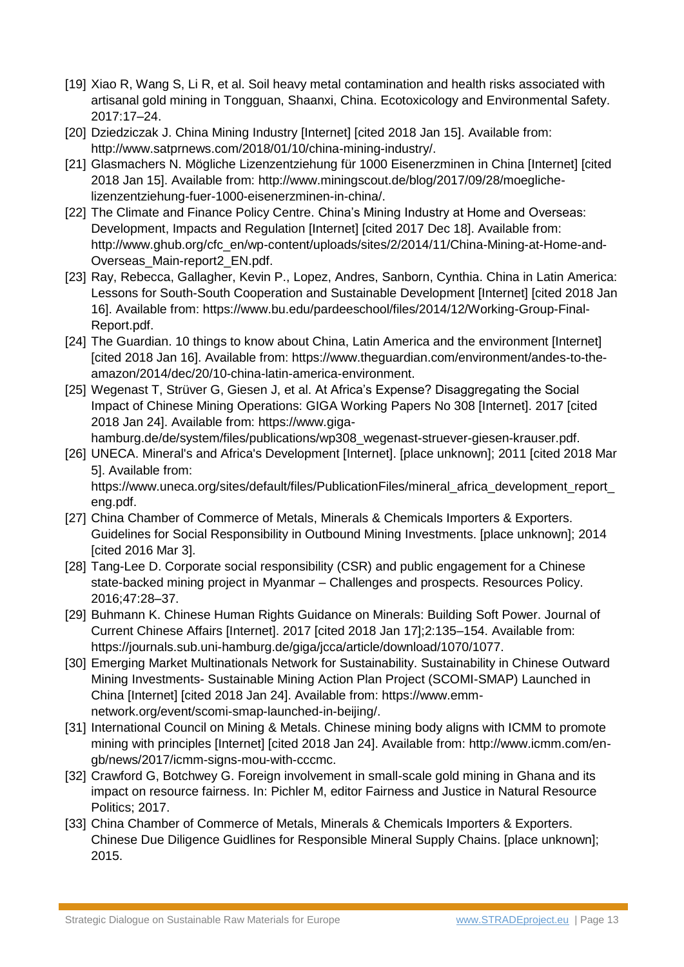- [19] Xiao R, Wang S, Li R, et al. Soil heavy metal contamination and health risks associated with artisanal gold mining in Tongguan, Shaanxi, China. Ecotoxicology and Environmental Safety. 2017:17–24.
- [20] Dziedziczak J. China Mining Industry [Internet] [cited 2018 Jan 15]. Available from: http://www.satprnews.com/2018/01/10/china-mining-industry/.
- [21] Glasmachers N. Mögliche Lizenzentziehung für 1000 Eisenerzminen in China [Internet] [cited 2018 Jan 15]. Available from: http://www.miningscout.de/blog/2017/09/28/moeglichelizenzentziehung-fuer-1000-eisenerzminen-in-china/.
- [22] The Climate and Finance Policy Centre. China's Mining Industry at Home and Overseas: Development, Impacts and Regulation [Internet] [cited 2017 Dec 18]. Available from: http://www.ghub.org/cfc\_en/wp-content/uploads/sites/2/2014/11/China-Mining-at-Home-and-Overseas\_Main-report2\_EN.pdf.
- [23] Ray, Rebecca, Gallagher, Kevin P., Lopez, Andres, Sanborn, Cynthia. China in Latin America: Lessons for South-South Cooperation and Sustainable Development [Internet] [cited 2018 Jan 16]. Available from: https://www.bu.edu/pardeeschool/files/2014/12/Working-Group-Final-Report.pdf.
- [24] The Guardian. 10 things to know about China, Latin America and the environment [Internet] [cited 2018 Jan 16]. Available from: https://www.theguardian.com/environment/andes-to-theamazon/2014/dec/20/10-china-latin-america-environment.
- [25] Wegenast T, Strüver G, Giesen J, et al. At Africa's Expense? Disaggregating the Social Impact of Chinese Mining Operations: GIGA Working Papers No 308 [Internet]. 2017 [cited 2018 Jan 24]. Available from: https://www.gigahamburg.de/de/system/files/publications/wp308\_wegenast-struever-giesen-krauser.pdf.
- [26] UNECA. Mineral's and Africa's Development [Internet]. [place unknown]; 2011 [cited 2018 Mar 5]. Available from: https://www.uneca.org/sites/default/files/PublicationFiles/mineral\_africa\_development\_report\_ eng.pdf.
- [27] China Chamber of Commerce of Metals, Minerals & Chemicals Importers & Exporters. Guidelines for Social Responsibility in Outbound Mining Investments. [place unknown]; 2014 [cited 2016 Mar 3].
- [28] Tang-Lee D. Corporate social responsibility (CSR) and public engagement for a Chinese state-backed mining project in Myanmar – Challenges and prospects. Resources Policy. 2016;47:28–37.
- [29] Buhmann K. Chinese Human Rights Guidance on Minerals: Building Soft Power. Journal of Current Chinese Affairs [Internet]. 2017 [cited 2018 Jan 17];2:135–154. Available from: https://journals.sub.uni-hamburg.de/giga/jcca/article/download/1070/1077.
- [30] Emerging Market Multinationals Network for Sustainability. Sustainability in Chinese Outward Mining Investments- Sustainable Mining Action Plan Project (SCOMI-SMAP) Launched in China [Internet] [cited 2018 Jan 24]. Available from: https://www.emmnetwork.org/event/scomi-smap-launched-in-beijing/.
- [31] International Council on Mining & Metals. Chinese mining body aligns with ICMM to promote mining with principles [Internet] [cited 2018 Jan 24]. Available from: http://www.icmm.com/engb/news/2017/icmm-signs-mou-with-cccmc.
- [32] Crawford G, Botchwey G. Foreign involvement in small-scale gold mining in Ghana and its impact on resource fairness. In: Pichler M, editor Fairness and Justice in Natural Resource Politics; 2017.
- [33] China Chamber of Commerce of Metals, Minerals & Chemicals Importers & Exporters. Chinese Due Diligence Guidlines for Responsible Mineral Supply Chains. [place unknown]; 2015.